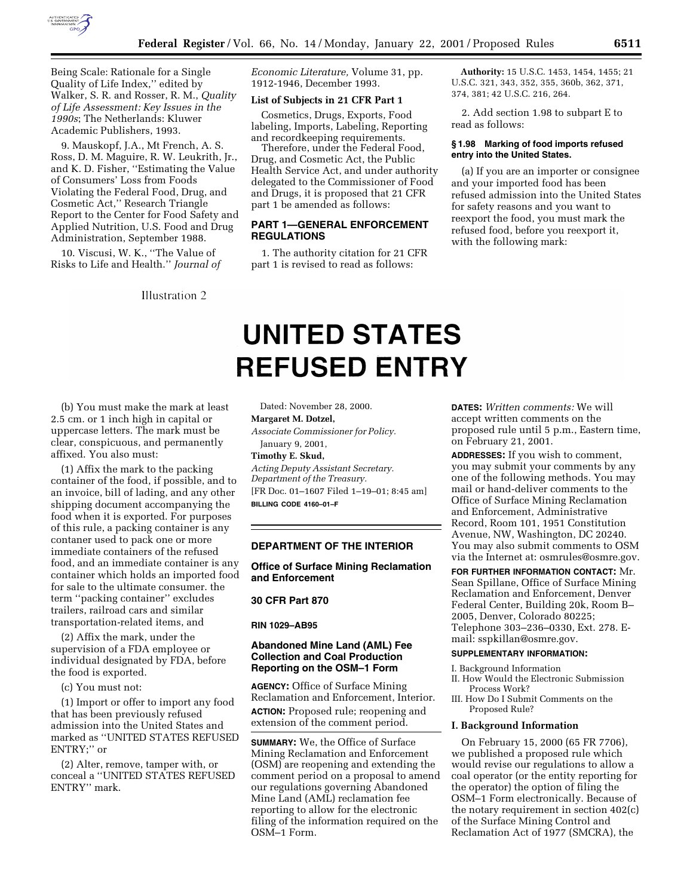

Being Scale: Rationale for a Single Quality of Life Index,'' edited by Walker, S. R. and Rosser, R. M., *Quality of Life Assessment: Key Issues in the 1990s*; The Netherlands: Kluwer Academic Publishers, 1993.

9. Mauskopf, J.A., Mt French, A. S. Ross, D. M. Maguire, R. W. Leukrith, Jr., and K. D. Fisher, ''Estimating the Value of Consumers' Loss from Foods Violating the Federal Food, Drug, and Cosmetic Act,'' Research Triangle Report to the Center for Food Safety and Applied Nutrition, U.S. Food and Drug Administration, September 1988.

10. Viscusi, W. K., ''The Value of Risks to Life and Health.'' *Journal of*

Illustration 2

*Economic Literature,* Volume 31, pp. 1912-1946, December 1993.

#### **List of Subjects in 21 CFR Part 1**

Cosmetics, Drugs, Exports, Food labeling, Imports, Labeling, Reporting and recordkeeping requirements.

Therefore, under the Federal Food, Drug, and Cosmetic Act, the Public Health Service Act, and under authority delegated to the Commissioner of Food and Drugs, it is proposed that 21 CFR part 1 be amended as follows:

# **PART 1—GENERAL ENFORCEMENT REGULATIONS**

1. The authority citation for 21 CFR part 1 is revised to read as follows:

**Authority:** 15 U.S.C. 1453, 1454, 1455; 21 U.S.C. 321, 343, 352, 355, 360b, 362, 371, 374, 381; 42 U.S.C. 216, 264.

2. Add section 1.98 to subpart E to read as follows:

## **§ 1.98 Marking of food imports refused entry into the United States.**

(a) If you are an importer or consignee and your imported food has been refused admission into the United States for safety reasons and you want to reexport the food, you must mark the refused food, before you reexport it, with the following mark:

# **UNITED STATES REFUSED ENTRY**

(b) You must make the mark at least 2.5 cm. or 1 inch high in capital or uppercase letters. The mark must be clear, conspicuous, and permanently affixed. You also must:

(1) Affix the mark to the packing container of the food, if possible, and to an invoice, bill of lading, and any other shipping document accompanying the food when it is exported. For purposes of this rule, a packing container is any contaner used to pack one or more immediate containers of the refused food, and an immediate container is any container which holds an imported food for sale to the ultimate consumer. the term ''packing container'' excludes trailers, railroad cars and similar transportation-related items, and

(2) Affix the mark, under the supervision of a FDA employee or individual designated by FDA, before the food is exported.

(c) You must not:

(1) Import or offer to import any food that has been previously refused admission into the United States and marked as ''UNITED STATES REFUSED ENTRY;'' or

(2) Alter, remove, tamper with, or conceal a ''UNITED STATES REFUSED ENTRY'' mark.

Dated: November 28, 2000. **Margaret M. Dotzel,** *Associate Commissioner for Policy.* January 9, 2001, **Timothy E. Skud,** *Acting Deputy Assistant Secretary.*

*Department of the Treasury.* [FR Doc. 01–1607 Filed 1–19–01; 8:45 am] **BILLING CODE 4160–01–F**

# **DEPARTMENT OF THE INTERIOR**

**Office of Surface Mining Reclamation and Enforcement**

#### **30 CFR Part 870**

#### **RIN 1029–AB95**

# **Abandoned Mine Land (AML) Fee Collection and Coal Production Reporting on the OSM–1 Form**

**AGENCY:** Office of Surface Mining Reclamation and Enforcement, Interior. **ACTION:** Proposed rule; reopening and extension of the comment period.

**SUMMARY:** We, the Office of Surface Mining Reclamation and Enforcement (OSM) are reopening and extending the comment period on a proposal to amend our regulations governing Abandoned Mine Land (AML) reclamation fee reporting to allow for the electronic filing of the information required on the OSM–1 Form.

**DATES:** *Written comments:* We will accept written comments on the proposed rule until 5 p.m., Eastern time, on February 21, 2001.

**ADDRESSES:** If you wish to comment, you may submit your comments by any one of the following methods. You may mail or hand-deliver comments to the Office of Surface Mining Reclamation and Enforcement, Administrative Record, Room 101, 1951 Constitution Avenue, NW, Washington, DC 20240. You may also submit comments to OSM via the Internet at: osmrules@osmre.gov.

**FOR FURTHER INFORMATION CONTACT:** Mr. Sean Spillane, Office of Surface Mining Reclamation and Enforcement, Denver Federal Center, Building 20k, Room B– 2005, Denver, Colorado 80225; Telephone 303–236–0330, Ext. 278. Email: sspkillan@osmre.gov.

## **SUPPLEMENTARY INFORMATION:**

- I. Background Information II. How Would the Electronic Submission
- Process Work?
- III. How Do I Submit Comments on the Proposed Rule?

## **I. Background Information**

On February 15, 2000 (65 FR 7706), we published a proposed rule which would revise our regulations to allow a coal operator (or the entity reporting for the operator) the option of filing the OSM–1 Form electronically. Because of the notary requirement in section 402(c) of the Surface Mining Control and Reclamation Act of 1977 (SMCRA), the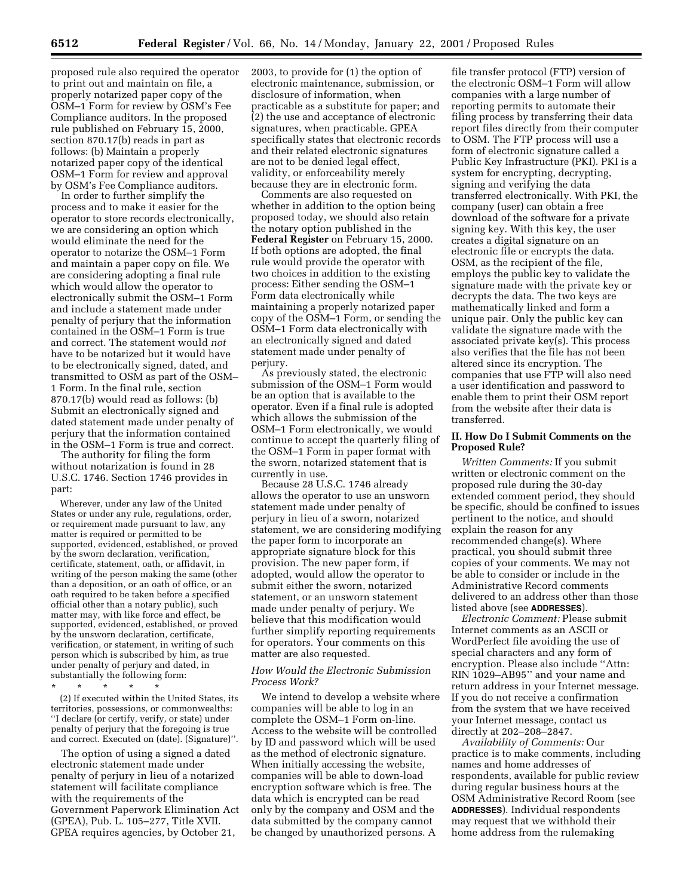proposed rule also required the operator to print out and maintain on file, a properly notarized paper copy of the OSM–1 Form for review by OSM's Fee Compliance auditors. In the proposed rule published on February 15, 2000, section 870.17(b) reads in part as follows: (b) Maintain a properly notarized paper copy of the identical OSM–1 Form for review and approval by OSM's Fee Compliance auditors.

In order to further simplify the process and to make it easier for the operator to store records electronically, we are considering an option which would eliminate the need for the operator to notarize the OSM–1 Form and maintain a paper copy on file. We are considering adopting a final rule which would allow the operator to electronically submit the OSM–1 Form and include a statement made under penalty of perjury that the information contained in the OSM–1 Form is true and correct. The statement would *not* have to be notarized but it would have to be electronically signed, dated, and transmitted to OSM as part of the OSM– 1 Form. In the final rule, section 870.17(b) would read as follows: (b) Submit an electronically signed and dated statement made under penalty of perjury that the information contained in the OSM–1 Form is true and correct.

The authority for filing the form without notarization is found in 28 U.S.C. 1746. Section 1746 provides in part:

Wherever, under any law of the United States or under any rule, regulations, order, or requirement made pursuant to law, any matter is required or permitted to be supported, evidenced, established, or proved by the sworn declaration, verification, certificate, statement, oath, or affidavit, in writing of the person making the same (other than a deposition, or an oath of office, or an oath required to be taken before a specified official other than a notary public), such matter may, with like force and effect, be supported, evidenced, established, or proved by the unsworn declaration, certificate, verification, or statement, in writing of such person which is subscribed by him, as true under penalty of perjury and dated, in substantially the following form:

\* \* \* \* \*

(2) If executed within the United States, its territories, possessions, or commonwealths: ''I declare (or certify, verify, or state) under penalty of perjury that the foregoing is true and correct. Executed on (date). (Signature)''.

The option of using a signed a dated electronic statement made under penalty of perjury in lieu of a notarized statement will facilitate compliance with the requirements of the Government Paperwork Elimination Act (GPEA), Pub. L. 105–277, Title XVII. GPEA requires agencies, by October 21,

2003, to provide for (1) the option of electronic maintenance, submission, or disclosure of information, when practicable as a substitute for paper; and (2) the use and acceptance of electronic signatures, when practicable. GPEA specifically states that electronic records and their related electronic signatures are not to be denied legal effect, validity, or enforceability merely because they are in electronic form.

Comments are also requested on whether in addition to the option being proposed today, we should also retain the notary option published in the **Federal Register** on February 15, 2000. If both options are adopted, the final rule would provide the operator with two choices in addition to the existing process: Either sending the OSM–1 Form data electronically while maintaining a properly notarized paper copy of the OSM–1 Form, or sending the OSM–1 Form data electronically with an electronically signed and dated statement made under penalty of perjury.

As previously stated, the electronic submission of the OSM–1 Form would be an option that is available to the operator. Even if a final rule is adopted which allows the submission of the OSM–1 Form electronically, we would continue to accept the quarterly filing of the OSM–1 Form in paper format with the sworn, notarized statement that is currently in use.

Because 28 U.S.C. 1746 already allows the operator to use an unsworn statement made under penalty of perjury in lieu of a sworn, notarized statement, we are considering modifying the paper form to incorporate an appropriate signature block for this provision. The new paper form, if adopted, would allow the operator to submit either the sworn, notarized statement, or an unsworn statement made under penalty of perjury. We believe that this modification would further simplify reporting requirements for operators. Your comments on this matter are also requested.

# *How Would the Electronic Submission Process Work?*

We intend to develop a website where companies will be able to log in an complete the OSM–1 Form on-line. Access to the website will be controlled by ID and password which will be used as the method of electronic signature. When initially accessing the website, companies will be able to down-load encryption software which is free. The data which is encrypted can be read only by the company and OSM and the data submitted by the company cannot be changed by unauthorized persons. A

file transfer protocol (FTP) version of the electronic OSM–1 Form will allow companies with a large number of reporting permits to automate their filing process by transferring their data report files directly from their computer to OSM. The FTP process will use a form of electronic signature called a Public Key Infrastructure (PKI). PKI is a system for encrypting, decrypting, signing and verifying the data transferred electronically. With PKI, the company (user) can obtain a free download of the software for a private signing key. With this key, the user creates a digital signature on an electronic file or encrypts the data. OSM, as the recipient of the file, employs the public key to validate the signature made with the private key or decrypts the data. The two keys are mathematically linked and form a unique pair. Only the public key can validate the signature made with the associated private key(s). This process also verifies that the file has not been altered since its encryption. The companies that use FTP will also need a user identification and password to enable them to print their OSM report from the website after their data is transferred.

# **II. How Do I Submit Comments on the Proposed Rule?**

*Written Comments:* If you submit written or electronic comment on the proposed rule during the 30-day extended comment period, they should be specific, should be confined to issues pertinent to the notice, and should explain the reason for any recommended change(s). Where practical, you should submit three copies of your comments. We may not be able to consider or include in the Administrative Record comments delivered to an address other than those listed above (see **ADDRESSES**).

*Electronic Comment:* Please submit Internet comments as an ASCII or WordPerfect file avoiding the use of special characters and any form of encryption. Please also include ''Attn: RIN 1029–AB95'' and your name and return address in your Internet message. If you do not receive a confirmation from the system that we have received your Internet message, contact us directly at 202–208–2847.

*Availability of Comments:* Our practice is to make comments, including names and home addresses of respondents, available for public review during regular business hours at the OSM Administrative Record Room (see **ADDRESSES**). Individual respondents may request that we withhold their home address from the rulemaking